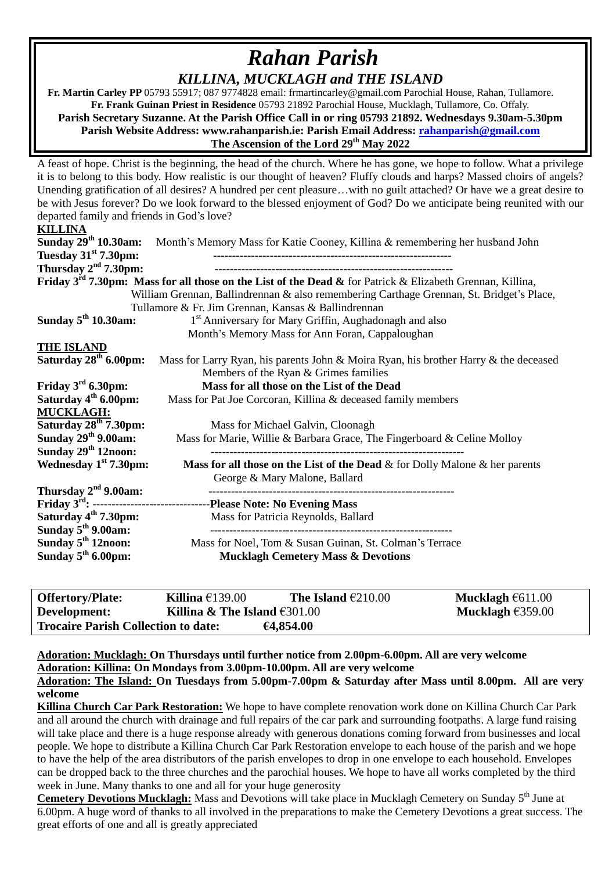# *Rahan Parish KILLINA, MUCKLAGH and THE ISLAND*

 **Fr. Martin Carley PP** 05793 55917; 087 9774828 email: frmartincarley@gmail.com Parochial House, Rahan, Tullamore. **Fr. Frank Guinan Priest in Residence** 05793 21892 Parochial House, Mucklagh, Tullamore, Co. Offaly. **Parish Secretary Suzanne. At the Parish Office Call in or ring 05793 21892. Wednesdays 9.30am-5.30pm Parish Website Address: www.rahanparish.ie: Parish Email Address: [rahanparish@gmail.com](mailto:rahanparish@gmail.com) The Ascension of the Lord 29th May 2022**

A feast of hope. Christ is the beginning, the head of the church. Where he has gone, we hope to follow. What a privilege it is to belong to this body. How realistic is our thought of heaven? Fluffy clouds and harps? Massed choirs of angels? Unending gratification of all desires? A hundred per cent pleasure…with no guilt attached? Or have we a great desire to be with Jesus forever? Do we look forward to the blessed enjoyment of God? Do we anticipate being reunited with our departed family and friends in God's love?

#### **KILLINA**

| Sunday 29th 10.30am:                            | Month's Memory Mass for Katie Cooney, Killina & remembering her husband John                                |  |  |  |
|-------------------------------------------------|-------------------------------------------------------------------------------------------------------------|--|--|--|
| Tuesday $31st$ 7.30pm:                          |                                                                                                             |  |  |  |
| Thursday $2nd 7.30$ pm:                         |                                                                                                             |  |  |  |
|                                                 | Friday $3rd$ 7.30pm: Mass for all those on the List of the Dead & for Patrick & Elizabeth Grennan, Killina, |  |  |  |
|                                                 | William Grennan, Ballindrennan & also remembering Carthage Grennan, St. Bridget's Place,                    |  |  |  |
|                                                 | Tullamore & Fr. Jim Grennan, Kansas & Ballindrennan                                                         |  |  |  |
| Sunday $5th 10.30$ am:                          | 1 <sup>st</sup> Anniversary for Mary Griffin, Aughadonagh and also                                          |  |  |  |
| Month's Memory Mass for Ann Foran, Cappaloughan |                                                                                                             |  |  |  |
| <b>THE ISLAND</b>                               |                                                                                                             |  |  |  |
| Saturday $28th$ 6.00pm:                         | Mass for Larry Ryan, his parents John & Moira Ryan, his brother Harry & the deceased                        |  |  |  |
|                                                 | Members of the Ryan & Grimes families                                                                       |  |  |  |
| Friday $3rd$ 6.30pm:                            | Mass for all those on the List of the Dead                                                                  |  |  |  |
| Saturday 4 <sup>th</sup> 6.00pm:                | Mass for Pat Joe Corcoran, Killina & deceased family members                                                |  |  |  |
| <b>MUCKLAGH:</b>                                |                                                                                                             |  |  |  |
| Saturday 28 <sup>th</sup> 7.30pm:               | Mass for Michael Galvin, Cloonagh                                                                           |  |  |  |
| Sunday $29th$ 9.00am:                           | Mass for Marie, Willie & Barbara Grace, The Fingerboard & Celine Molloy                                     |  |  |  |
| Sunday $29th 12$ noon:                          |                                                                                                             |  |  |  |
| Wednesday $1st 7.30$ pm:                        | Mass for all those on the List of the Dead $\&$ for Dolly Malone $\&$ her parents                           |  |  |  |
|                                                 | George & Mary Malone, Ballard                                                                               |  |  |  |
| Thursday $2nd$ 9.00am:                          |                                                                                                             |  |  |  |
|                                                 | Friday 3 <sup>rd</sup> : -----------------------------------Please Note: No Evening Mass                    |  |  |  |
| Saturday 4 <sup>th</sup> 7.30pm:                | Mass for Patricia Reynolds, Ballard                                                                         |  |  |  |
| Sunday $5th$ 9.00am:                            |                                                                                                             |  |  |  |
| Sunday $5th 12$ noon:                           | Mass for Noel, Tom & Susan Guinan, St. Colman's Terrace                                                     |  |  |  |
| Sunday $5th 6.00 \text{pm}$ :                   | <b>Mucklagh Cemetery Mass &amp; Devotions</b>                                                               |  |  |  |
|                                                 |                                                                                                             |  |  |  |

| <b>Offertory/Plate:</b>                    | Killina $£139.00$                                 | The Island $\epsilon$ 210.00 | Mucklagh $6611.00$ |
|--------------------------------------------|---------------------------------------------------|------------------------------|--------------------|
| Development:                               | Killina & The Island $\text{\textsterling}301.00$ |                              | Mucklagh $£359.00$ |
| <b>Trocaire Parish Collection to date:</b> |                                                   | €4,854.00                    |                    |

**Adoration: Mucklagh: On Thursdays until further notice from 2.00pm-6.00pm. All are very welcome Adoration: Killina: On Mondays from 3.00pm-10.00pm. All are very welcome**

#### **Adoration: The Island: On Tuesdays from 5.00pm-7.00pm & Saturday after Mass until 8.00pm. All are very welcome**

**Killina Church Car Park Restoration:** We hope to have complete renovation work done on Killina Church Car Park and all around the church with drainage and full repairs of the car park and surrounding footpaths. A large fund raising will take place and there is a huge response already with generous donations coming forward from businesses and local people. We hope to distribute a Killina Church Car Park Restoration envelope to each house of the parish and we hope to have the help of the area distributors of the parish envelopes to drop in one envelope to each household. Envelopes can be dropped back to the three churches and the parochial houses. We hope to have all works completed by the third week in June. Many thanks to one and all for your huge generosity

Cemetery Devotions Mucklagh: Mass and Devotions will take place in Mucklagh Cemetery on Sunday 5<sup>th</sup> June at 6.00pm. A huge word of thanks to all involved in the preparations to make the Cemetery Devotions a great success. The great efforts of one and all is greatly appreciated